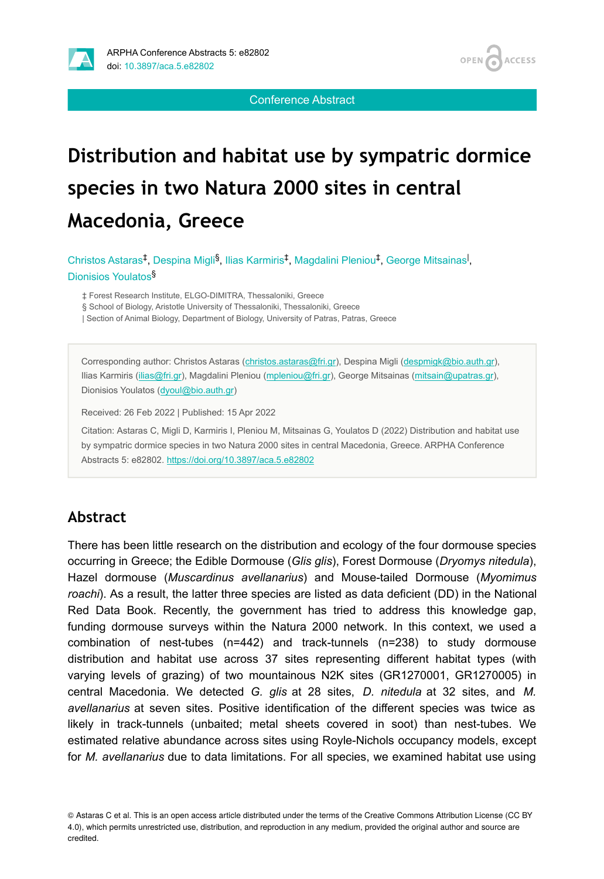



Conference Abstract

# **Distribution and habitat use by sympatric dormice species in two Natura 2000 sites in central Macedonia, Greece**

Christos Astaras<sup>‡</sup>, Despina Migli<sup>§</sup>, Ilias Karmiris<sup>‡</sup>, Magdalini Pleniou<sup>‡</sup>, George Mitsainas<sup>1</sup>, Dionisios Youlatos §

‡ Forest Research Institute, ELGO-DIMITRA, Thessaloniki, Greece

§ School of Biology, Aristotle University of Thessaloniki, Thessaloniki, Greece

| Section of Animal Biology, Department of Biology, University of Patras, Patras, Greece

Corresponding author: Christos Astaras ([christos.astaras@fri.gr\)](mailto:christos.astaras@fri.gr), Despina Migli [\(despmigk@bio.auth.gr\)](mailto:despmigk@bio.auth.gr), Ilias Karmiris [\(ilias@fri.gr](mailto:ilias@fri.gr)), Magdalini Pleniou [\(mpleniou@fri.gr\)](mailto:mpleniou@fri.gr), George Mitsainas [\(mitsain@upatras.gr\)](mailto:mitsain@upatras.gr), Dionisios Youlatos ([dyoul@bio.auth.gr\)](mailto:dyoul@bio.auth.gr)

Received: 26 Feb 2022 | Published: 15 Apr 2022

Citation: Astaras C, Migli D, Karmiris I, Pleniou M, Mitsainas G, Youlatos D (2022) Distribution and habitat use by sympatric dormice species in two Natura 2000 sites in central Macedonia, Greece. ARPHA Conference Abstracts 5: e82802.<https://doi.org/10.3897/aca.5.e82802>

### **Abstract**

There has been little research on the distribution and ecology of the four dormouse species occurring in Greece; the Edible Dormouse (*Glis glis*), Forest Dormouse (*Dryomys nitedula*), Hazel dormouse (*Muscardinus avellanarius*) and Mouse-tailed Dormouse (*Myomimus roachi*). As a result, the latter three species are listed as data deficient (DD) in the National Red Data Book. Recently, the government has tried to address this knowledge gap, funding dormouse surveys within the Natura 2000 network. In this context, we used a combination of nest-tubes (n=442) and track-tunnels (n=238) to study dormouse distribution and habitat use across 37 sites representing different habitat types (with varying levels of grazing) of two mountainous N2K sites (GR1270001, GR1270005) in central Macedonia. We detected *G. glis* at 28 sites, *D. nitedula* at 32 sites, and *M. avellanarius* at seven sites. Positive identification of the different species was twice as likely in track-tunnels (unbaited; metal sheets covered in soot) than nest-tubes. We estimated relative abundance across sites using Royle-Nichols occupancy models, except for *M. avellanarius* due to data limitations. For all species, we examined habitat use using

© Astaras C et al. This is an open access article distributed under the terms of the Creative Commons Attribution License (CC BY 4.0), which permits unrestricted use, distribution, and reproduction in any medium, provided the original author and source are credited.